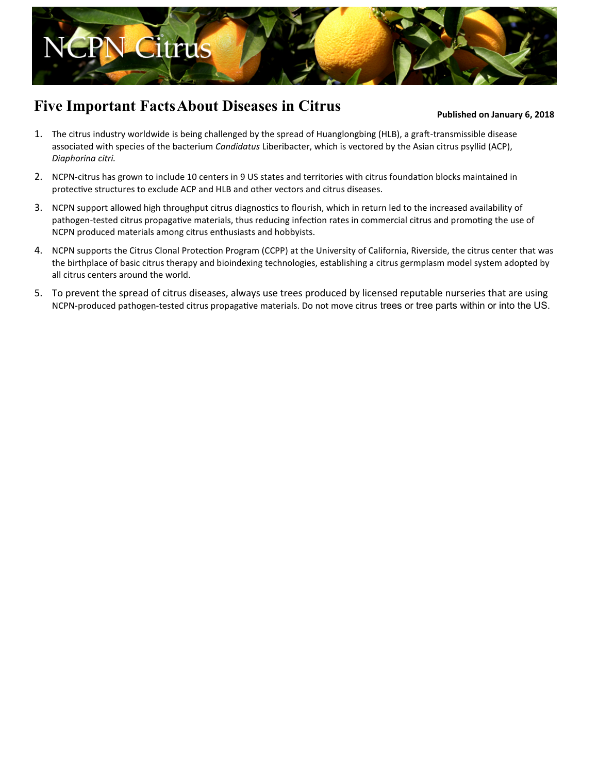

## **Five Important Facts About Diseases in Citrus**

## **Published on January 6, 2018**

- 1. The citrus industry worldwide is being challenged by the spread of Huanglongbing (HLB), a graft-transmissible disease associated with species of the bacterium *Candidatus* Liberibacter, which is vectored by the Asian citrus psyllid (ACP), *Diaphorina citri.*
- 2. NCPN-citrus has grown to include 10 centers in 9 US states and territories with citrus foundation blocks maintained in protective structures to exclude ACP and HLB and other vectors and citrus diseases.
- 3. NCPN support allowed high throughput [citrus diagnostics to flourish, which in return le](http://nationalcleanplantnetwork.org/)d to the increased availability of pathogen-tested citrus propagative materials, thus reducing infection rates in commercial citrus and promoting the use of NCPN produced materials among citrus enthusiasts and hobbyists.
- 4. NCPN supports the Citrus Clonal Protection Program (CCPP) at the University of California, Riverside, the citrus center that was the birthplace of basic citrus therapy and bioindexing technologies, establishing a citrus germplasm model system adopted by all citrus centers around the world.
- 5. To prevent the spread of citrus diseases, always use trees produced by licensed reputable nurseries that are using NCPN-produced pathogen-tested citrus propagative materials. Do not move citrus trees or tree parts within or into the US.